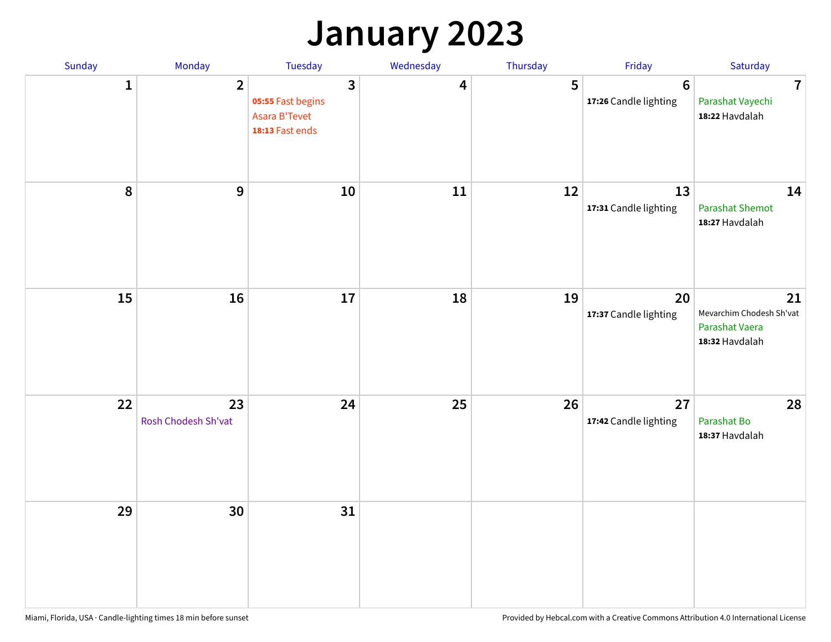## **January 2023**

| Sunday    | Monday                    | Tuesday                                                                                 | Wednesday | Thursday | Friday                                   | Saturday                                                           |
|-----------|---------------------------|-----------------------------------------------------------------------------------------|-----------|----------|------------------------------------------|--------------------------------------------------------------------|
| 1         | $\overline{2}$            | $\overline{\mathbf{3}}$<br>05:55 Fast begins<br><b>Asara B'Tevet</b><br>18:13 Fast ends | 4         | 5        | $6\phantom{1}6$<br>17:26 Candle lighting | $\overline{7}$<br>Parashat Vayechi<br>18:22 Havdalah               |
| $\pmb{8}$ | $\boldsymbol{9}$          | 10                                                                                      | 11        | 12       | 13<br>17:31 Candle lighting              | 14<br><b>Parashat Shemot</b><br>18:27 Havdalah                     |
| 15        | 16                        | 17                                                                                      | 18        | 19       | 20<br>17:37 Candle lighting              | 21<br>Mevarchim Chodesh Sh'vat<br>Parashat Vaera<br>18:32 Havdalah |
| 22        | 23<br>Rosh Chodesh Sh'vat | 24                                                                                      | 25        | 26       | 27<br>17:42 Candle lighting              | 28<br>Parashat Bo<br>18:37 Havdalah                                |
| 29        | 30                        | 31                                                                                      |           |          |                                          |                                                                    |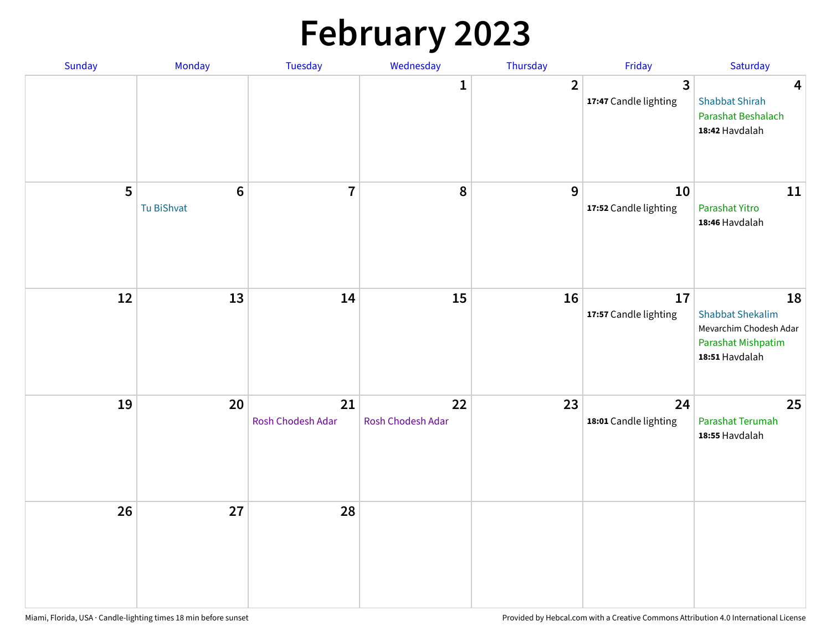# **February 2023**

| Sunday | Monday                        | Tuesday                 | Wednesday               | Thursday       | Friday                                  | Saturday                                                                                        |
|--------|-------------------------------|-------------------------|-------------------------|----------------|-----------------------------------------|-------------------------------------------------------------------------------------------------|
|        |                               |                         | $\mathbf{1}$            | $\overline{2}$ | $\overline{3}$<br>17:47 Candle lighting | $\overline{\mathbf{4}}$<br><b>Shabbat Shirah</b><br>Parashat Beshalach<br>18:42 Havdalah        |
| 5      | $6\phantom{1}6$<br>Tu BiShvat | $\overline{7}$          | 8                       | 9              | 10<br>17:52 Candle lighting             | 11<br>Parashat Yitro<br>18:46 Havdalah                                                          |
| 12     | 13                            | 14                      | 15                      | 16             | 17<br>17:57 Candle lighting             | 18<br><b>Shabbat Shekalim</b><br>Mevarchim Chodesh Adar<br>Parashat Mishpatim<br>18:51 Havdalah |
| 19     | 20                            | 21<br>Rosh Chodesh Adar | 22<br>Rosh Chodesh Adar | 23             | 24<br>18:01 Candle lighting             | 25<br>Parashat Terumah<br>18:55 Havdalah                                                        |
| 26     | 27                            | 28                      |                         |                |                                         |                                                                                                 |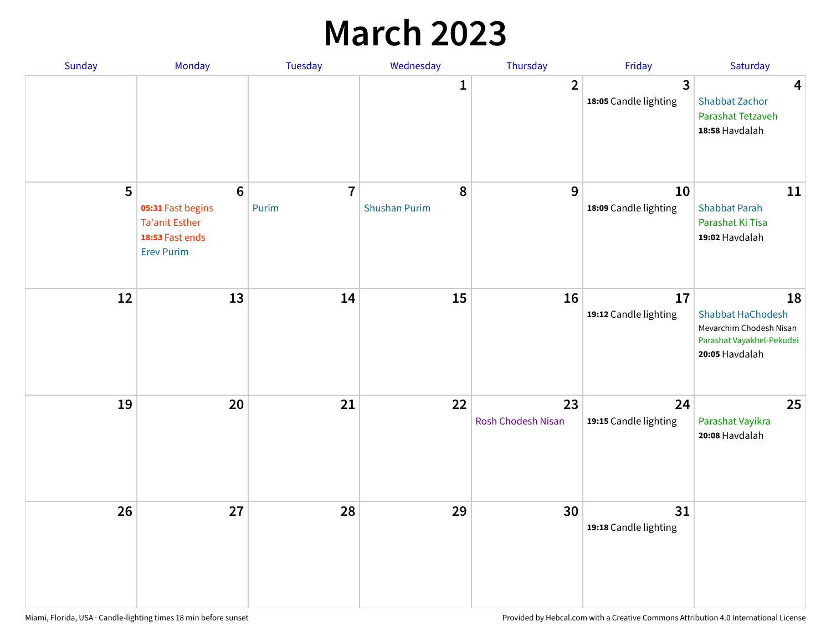## **March 2023**

| Sunday | Monday                                                                                               | Tuesday                 | Wednesday                 | Thursday                 | Friday                      | Saturday                                                                                                 |
|--------|------------------------------------------------------------------------------------------------------|-------------------------|---------------------------|--------------------------|-----------------------------|----------------------------------------------------------------------------------------------------------|
|        |                                                                                                      |                         | 1                         | $\overline{2}$           | 3<br>18:05 Candle lighting  | $\overline{\mathbf{4}}$<br><b>Shabbat Zachor</b><br>Parashat Tetzaveh<br>18:58 Havdalah                  |
| 5      | $6\phantom{a}$<br>05:31 Fast begins<br><b>Ta'anit Esther</b><br>18:53 Fast ends<br><b>Erev Purim</b> | $\overline{7}$<br>Purim | 8<br><b>Shushan Purim</b> | 9                        | 10<br>18:09 Candle lighting | 11<br><b>Shabbat Parah</b><br>Parashat Ki Tisa<br>19:02 Havdalah                                         |
| 12     | 13                                                                                                   | 14                      | 15                        | 16                       | 17<br>19:12 Candle lighting | 18<br><b>Shabbat HaChodesh</b><br>Mevarchim Chodesh Nisan<br>Parashat Vayakhel-Pekudei<br>20:05 Havdalah |
| 19     | 20                                                                                                   | 21                      | 22                        | 23<br>Rosh Chodesh Nisan | 24<br>19:15 Candle lighting | 25<br>Parashat Vayikra<br>20:08 Havdalah                                                                 |
| 26     | 27                                                                                                   | 28                      | 29                        | 30                       | 31<br>19:18 Candle lighting |                                                                                                          |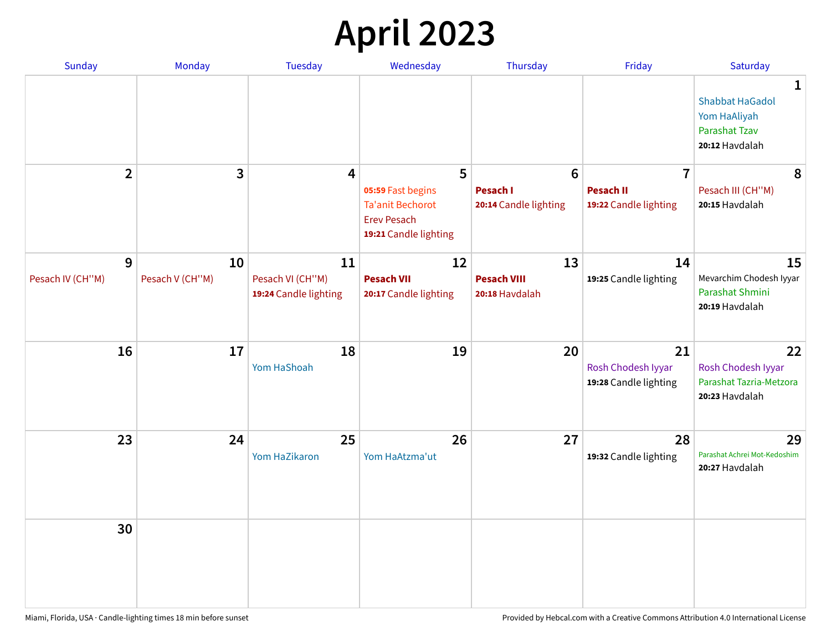# **April 2023**

| Sunday           | Monday          | <b>Tuesday</b>                            | Wednesday                                                                                   | Thursday                                 | Friday                                            | Saturday                                                                              |
|------------------|-----------------|-------------------------------------------|---------------------------------------------------------------------------------------------|------------------------------------------|---------------------------------------------------|---------------------------------------------------------------------------------------|
|                  |                 |                                           |                                                                                             |                                          |                                                   | 1<br><b>Shabbat HaGadol</b><br>Yom HaAliyah<br><b>Parashat Tzav</b><br>20:12 Havdalah |
| $\overline{2}$   | 3               | 4                                         | 5                                                                                           | $6\phantom{1}6$                          | $\overline{7}$                                    | 8                                                                                     |
|                  |                 |                                           | 05:59 Fast begins<br><b>Ta'anit Bechorot</b><br><b>Erev Pesach</b><br>19:21 Candle lighting | <b>Pesach I</b><br>20:14 Candle lighting | <b>Pesach II</b><br>19:22 Candle lighting         | Pesach III (CH"M)<br>20:15 Havdalah                                                   |
| 9                | 10              | 11                                        | 12                                                                                          | 13                                       | 14                                                | 15                                                                                    |
| Pesach IV (CH"M) | Pesach V (CH"M) | Pesach VI (CH"M)<br>19:24 Candle lighting | <b>Pesach VII</b><br>20:17 Candle lighting                                                  | <b>Pesach VIII</b><br>20:18 Havdalah     | 19:25 Candle lighting                             | Mevarchim Chodesh Iyyar<br>Parashat Shmini<br>20:19 Havdalah                          |
| 16               | 17              | 18<br>Yom HaShoah                         | 19                                                                                          | 20                                       | 21<br>Rosh Chodesh Iyyar<br>19:28 Candle lighting | 22<br>Rosh Chodesh Iyyar<br>Parashat Tazria-Metzora<br>20:23 Havdalah                 |
| 23               | 24              | 25<br>Yom HaZikaron                       | 26<br>Yom HaAtzma'ut                                                                        | 27                                       | 28<br>19:32 Candle lighting                       | 29<br>Parashat Achrei Mot-Kedoshim<br>20:27 Havdalah                                  |
| 30               |                 |                                           |                                                                                             |                                          |                                                   |                                                                                       |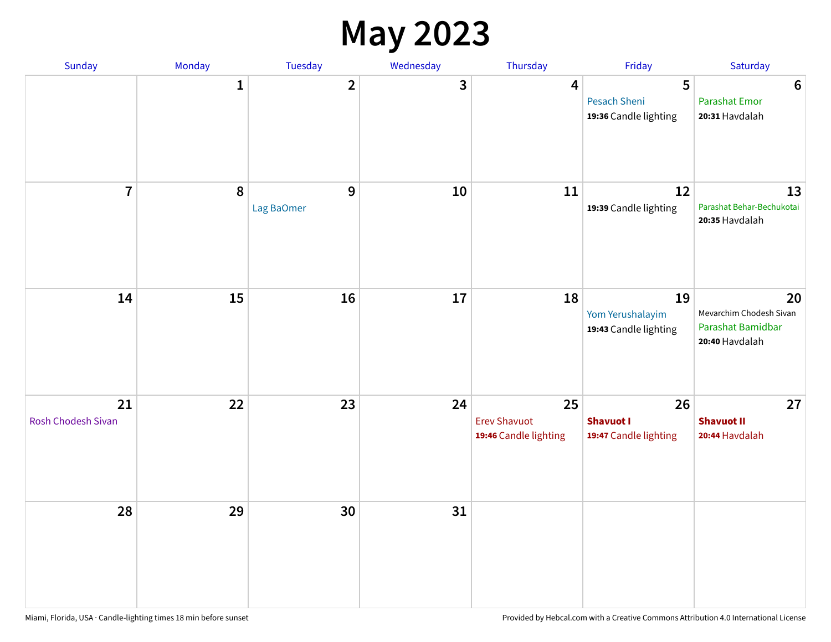#### **May 2023**

| Sunday                   | Monday       | Tuesday                 | Wednesday | Thursday                                           | Friday                                          | Saturday                                                             |
|--------------------------|--------------|-------------------------|-----------|----------------------------------------------------|-------------------------------------------------|----------------------------------------------------------------------|
|                          | $\mathbf{1}$ | $\overline{\mathbf{2}}$ | 3         | $\overline{\mathbf{4}}$                            | 5<br>Pesach Sheni<br>19:36 Candle lighting      | $\bf 6$<br><b>Parashat Emor</b><br>20:31 Havdalah                    |
| $\overline{7}$           | $\pmb{8}$    | 9<br>Lag BaOmer         | 10        | 11                                                 | 12<br>19:39 Candle lighting                     | 13<br>Parashat Behar-Bechukotai<br>20:35 Havdalah                    |
| 14                       | 15           | 16                      | 17        | 18                                                 | 19<br>Yom Yerushalayim<br>19:43 Candle lighting | 20<br>Mevarchim Chodesh Sivan<br>Parashat Bamidbar<br>20:40 Havdalah |
| 21<br>Rosh Chodesh Sivan | 22           | 23                      | 24        | 25<br><b>Erev Shavuot</b><br>19:46 Candle lighting | 26<br><b>Shavuot I</b><br>19:47 Candle lighting | 27<br><b>Shavuot II</b><br>20:44 Havdalah                            |
| 28                       | 29           | 30                      | 31        |                                                    |                                                 |                                                                      |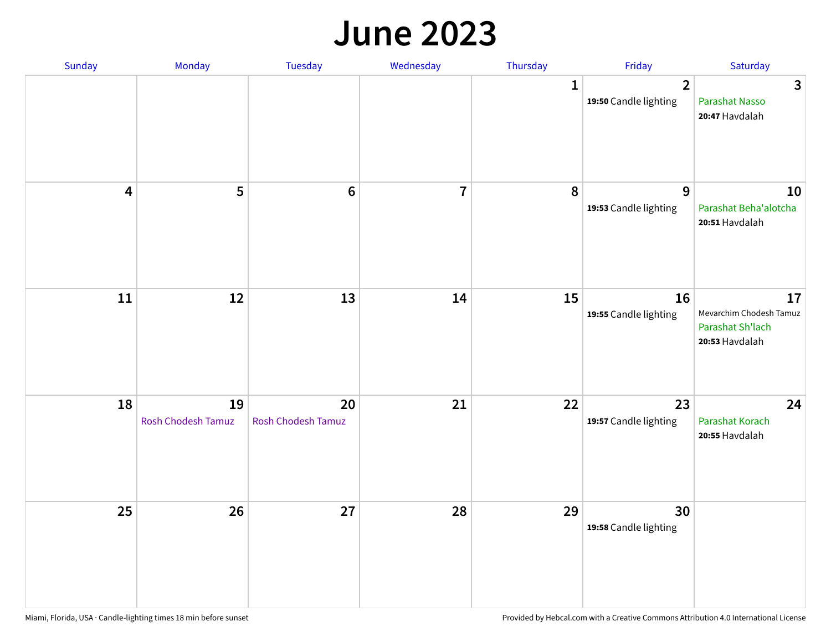#### **June 2023**

| Sunday                  | Monday                   | Tuesday                         | Wednesday      | Thursday     | Friday                                           | Saturday                                                            |
|-------------------------|--------------------------|---------------------------------|----------------|--------------|--------------------------------------------------|---------------------------------------------------------------------|
|                         |                          |                                 |                | $\mathbf{1}$ | $\overline{\mathbf{2}}$<br>19:50 Candle lighting | $\overline{3}$<br>Parashat Nasso<br>20:47 Havdalah                  |
| $\overline{\mathbf{4}}$ | 5                        | $\bf 6$                         | $\overline{7}$ | 8            | 9<br>19:53 Candle lighting                       | 10<br>Parashat Beha'alotcha<br>20:51 Havdalah                       |
| ${\bf 11}$              | 12                       | 13                              | 14             | 15           | 16<br>19:55 Candle lighting                      | 17<br>Mevarchim Chodesh Tamuz<br>Parashat Sh'lach<br>20:53 Havdalah |
| 18                      | 19<br>Rosh Chodesh Tamuz | 20<br><b>Rosh Chodesh Tamuz</b> | 21             | 22           | 23<br>19:57 Candle lighting                      | 24<br>Parashat Korach<br>20:55 Havdalah                             |
| 25                      | 26                       | 27                              | 28             | 29           | 30<br>19:58 Candle lighting                      |                                                                     |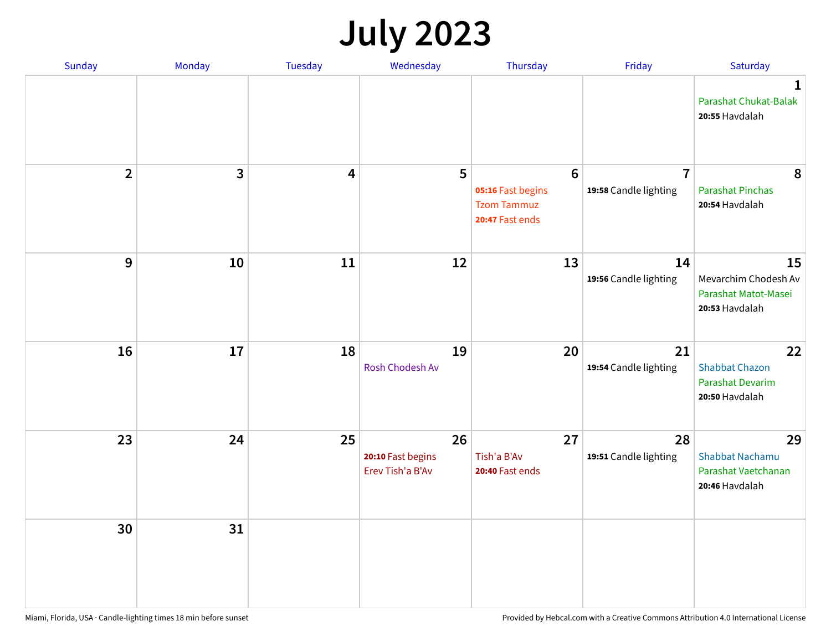# **July 2023**

| Sunday                  | Monday       | <b>Tuesday</b>          | Wednesday                                   | Thursday                                                                      | Friday                                  | Saturday                                                              |
|-------------------------|--------------|-------------------------|---------------------------------------------|-------------------------------------------------------------------------------|-----------------------------------------|-----------------------------------------------------------------------|
|                         |              |                         |                                             |                                                                               |                                         | $\mathbf 1$<br>Parashat Chukat-Balak<br>20:55 Havdalah                |
| $\overline{\mathbf{2}}$ | $\mathbf{3}$ | $\overline{\mathbf{4}}$ | 5                                           | $6\phantom{1}6$<br>05:16 Fast begins<br><b>Tzom Tammuz</b><br>20:47 Fast ends | $\overline{7}$<br>19:58 Candle lighting | 8<br><b>Parashat Pinchas</b><br>20:54 Havdalah                        |
| 9                       | 10           | 11                      | 12                                          | 13                                                                            | 14<br>19:56 Candle lighting             | 15<br>Mevarchim Chodesh Av<br>Parashat Matot-Masei<br>20:53 Havdalah  |
| 16                      | 17           | 18                      | 19<br>Rosh Chodesh Av                       | 20                                                                            | 21<br>19:54 Candle lighting             | 22<br><b>Shabbat Chazon</b><br>Parashat Devarim<br>20:50 Havdalah     |
| 23                      | 24           | 25                      | 26<br>20:10 Fast begins<br>Erev Tish'a B'Av | 27<br>Tish'a B'Av<br>20:40 Fast ends                                          | 28<br>19:51 Candle lighting             | 29<br><b>Shabbat Nachamu</b><br>Parashat Vaetchanan<br>20:46 Havdalah |
| 30                      | 31           |                         |                                             |                                                                               |                                         |                                                                       |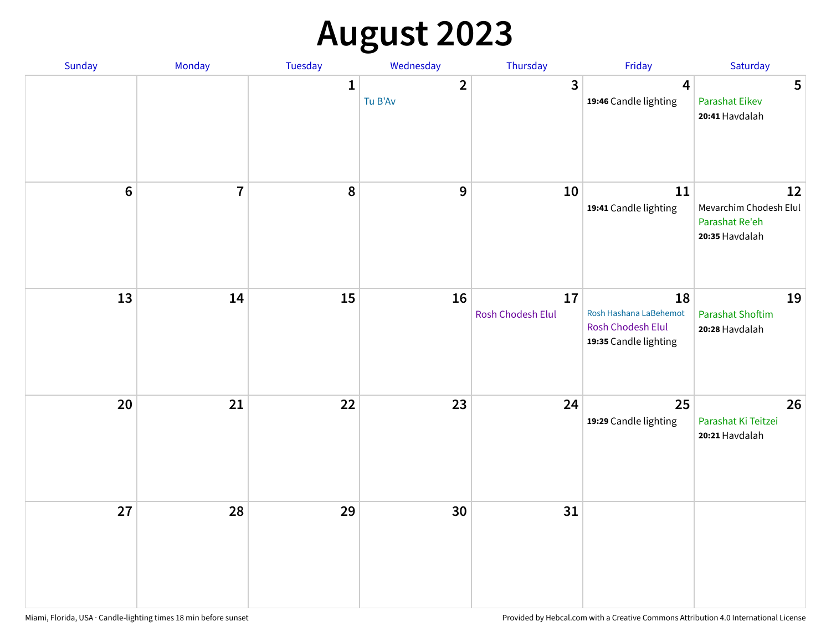# **August 2023**

| Sunday | Monday         | Tuesday      | Wednesday               | Thursday                | Friday                                                                            | Saturday                                                         |
|--------|----------------|--------------|-------------------------|-------------------------|-----------------------------------------------------------------------------------|------------------------------------------------------------------|
|        |                | $\mathbf{1}$ | $\mathbf{2}$<br>Tu B'Av | 3                       | 4<br>19:46 Candle lighting                                                        | 5<br><b>Parashat Eikev</b><br>20:41 Havdalah                     |
| $6\,$  | $\overline{7}$ | 8            | 9                       | 10                      | 11<br>19:41 Candle lighting                                                       | 12<br>Mevarchim Chodesh Elul<br>Parashat Re'eh<br>20:35 Havdalah |
| 13     | 14             | 15           | 16                      | 17<br>Rosh Chodesh Elul | 18<br>Rosh Hashana LaBehemot<br><b>Rosh Chodesh Elul</b><br>19:35 Candle lighting | 19<br><b>Parashat Shoftim</b><br>20:28 Havdalah                  |
| 20     | 21             | 22           | 23                      | 24                      | 25<br>19:29 Candle lighting                                                       | 26<br>Parashat Ki Teitzei<br>20:21 Havdalah                      |
| 27     | 28             | 29           | 30                      | 31                      |                                                                                   |                                                                  |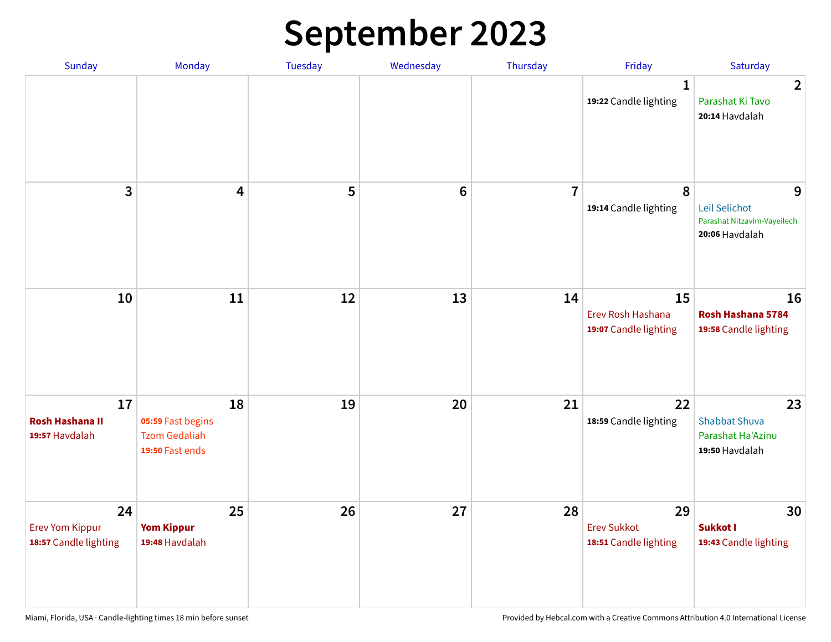# **September 2023**

| Sunday                                                | Monday                                                             | Tuesday | Wednesday       | Thursday       | Friday                                            | Saturday                                                            |
|-------------------------------------------------------|--------------------------------------------------------------------|---------|-----------------|----------------|---------------------------------------------------|---------------------------------------------------------------------|
|                                                       |                                                                    |         |                 |                | 1<br>19:22 Candle lighting                        | $\overline{2}$<br>Parashat Ki Tavo<br>20:14 Havdalah                |
| 3                                                     | $\overline{\mathbf{4}}$                                            | 5       | $6\phantom{1}6$ | $\overline{7}$ | 8<br>19:14 Candle lighting                        | 9<br>Leil Selichot<br>Parashat Nitzavim-Vayeilech<br>20:06 Havdalah |
| 10                                                    | 11                                                                 | 12      | 13              | 14             | 15<br>Erev Rosh Hashana<br>19:07 Candle lighting  | 16<br>Rosh Hashana 5784<br>19:58 Candle lighting                    |
| 17<br><b>Rosh Hashana II</b><br>19:57 Havdalah        | 18<br>05:59 Fast begins<br><b>Tzom Gedaliah</b><br>19:50 Fast ends | 19      | 20              | 21             | 22<br>18:59 Candle lighting                       | 23<br><b>Shabbat Shuva</b><br>Parashat Ha'Azinu<br>19:50 Havdalah   |
| 24<br><b>Erev Yom Kippur</b><br>18:57 Candle lighting | 25<br><b>Yom Kippur</b><br>19:48 Havdalah                          | 26      | 27              | 28             | 29<br><b>Erev Sukkot</b><br>18:51 Candle lighting | 30<br>Sukkot I<br>19:43 Candle lighting                             |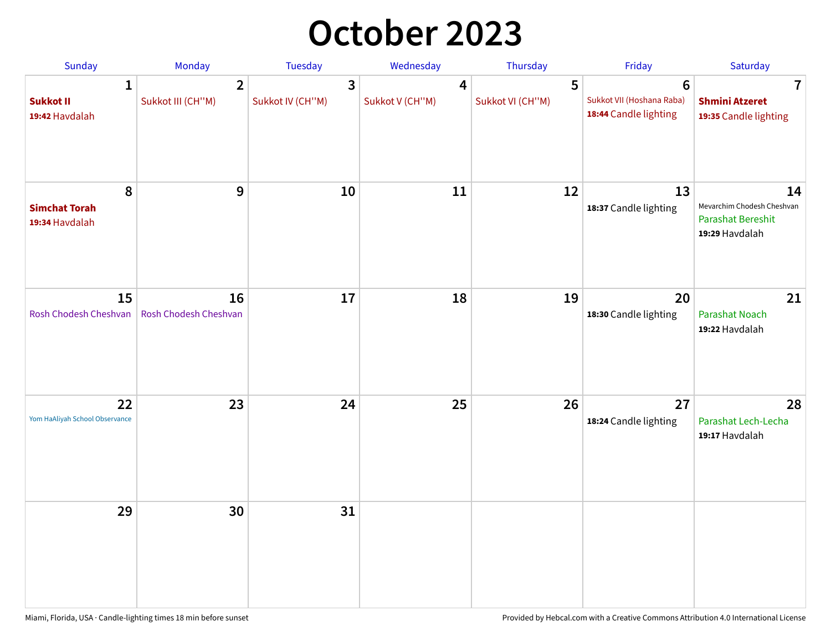## **October 2023**

| Sunday                                             | <b>Monday</b>                       | <b>Tuesday</b>        | Wednesday            | Thursday              | Friday                                                               | Saturday                                                                       |
|----------------------------------------------------|-------------------------------------|-----------------------|----------------------|-----------------------|----------------------------------------------------------------------|--------------------------------------------------------------------------------|
| $\mathbf{1}$<br><b>Sukkot II</b><br>19:42 Havdalah | $\overline{2}$<br>Sukkot III (CH"M) | 3<br>Sukkot IV (CH"M) | 4<br>Sukkot V (CH"M) | 5<br>Sukkot VI (CH"M) | $6\phantom{1}$<br>Sukkot VII (Hoshana Raba)<br>18:44 Candle lighting | 7<br><b>Shmini Atzeret</b><br>19:35 Candle lighting                            |
| 8<br><b>Simchat Torah</b><br>19:34 Havdalah        | $\boldsymbol{9}$                    | 10                    | 11                   | 12                    | 13<br>18:37 Candle lighting                                          | 14<br>Mevarchim Chodesh Cheshvan<br><b>Parashat Bereshit</b><br>19:29 Havdalah |
| 15<br>Rosh Chodesh Cheshvan                        | 16<br>Rosh Chodesh Cheshvan         | 17                    | 18                   | 19                    | 20<br>18:30 Candle lighting                                          | 21<br>Parashat Noach<br>19:22 Havdalah                                         |
| 22<br>Yom HaAliyah School Observance               | 23                                  | 24                    | 25                   | 26                    | 27<br>18:24 Candle lighting                                          | 28<br>Parashat Lech-Lecha<br>19:17 Havdalah                                    |
| 29                                                 | 30                                  | 31                    |                      |                       |                                                                      |                                                                                |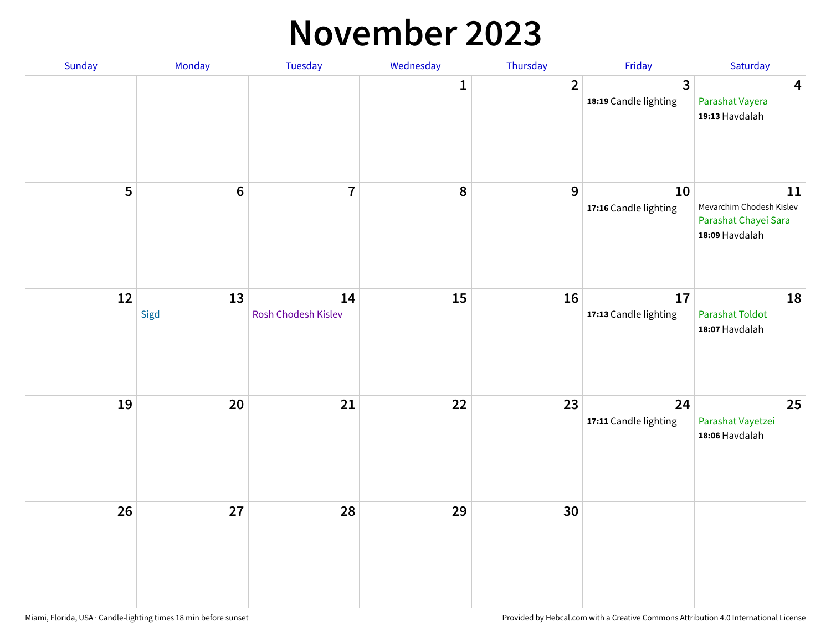#### **November 2023**

| Sunday | Monday          | Tuesday                   | Wednesday    | Thursday       | Friday                      | Saturday                                                                 |
|--------|-----------------|---------------------------|--------------|----------------|-----------------------------|--------------------------------------------------------------------------|
|        |                 |                           | $\mathbf{1}$ | $\overline{2}$ | 3<br>18:19 Candle lighting  | $\overline{\mathbf{4}}$<br>Parashat Vayera<br>19:13 Havdalah             |
| 5      | $6\phantom{1}6$ | $\overline{\mathbf{7}}$   | 8            | 9              | 10<br>17:16 Candle lighting | 11<br>Mevarchim Chodesh Kislev<br>Parashat Chayei Sara<br>18:09 Havdalah |
| 12     | 13<br>Sigd      | 14<br>Rosh Chodesh Kislev | 15           | 16             | 17<br>17:13 Candle lighting | 18<br><b>Parashat Toldot</b><br>18:07 Havdalah                           |
| 19     | 20              | 21                        | 22           | 23             | 24<br>17:11 Candle lighting | 25<br>Parashat Vayetzei<br>18:06 Havdalah                                |
| 26     | 27              | 28                        | 29           | 30             |                             |                                                                          |